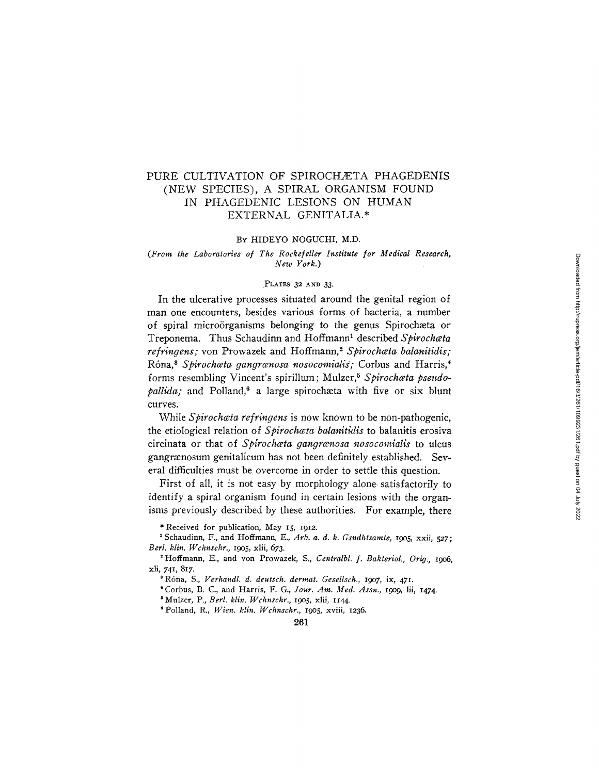# PURE CULTIVATION OF SPIROCHÆTA PHAGEDENIS (NEW SPECIES), A SPIRAL ORGANISM FOUND IN PHAGEDENIC LESIONS ON HUMAN EXTERNAL GENITALIA.\*

#### BY HIDEYO NOGUCHI, M.D.

#### *(From the Laboratories of The Rockefeller Institute for Medical Research, New York.)*

## PLATES 32 AND 33.

In the ulcerative processes situated around the genital region of man one encounters, besides various forms of bacteria, a number of spiral microorganisms belonging to the genus Spirochæta or Treponema. Thus Schaudinn and Hoffmann<sup>1</sup> described *Spirochata refringens;* von Prowazek and Hoffmann,<sup>2</sup> Spirochata balanitidis; Róna,<sup>3</sup> Spirochæta gangrænosa nosocomialis; Corbus and Harris,<sup>4</sup> forms resembling Vincent's spirillum; Mulzer,<sup>5</sup> Spirochata pseudo*pallida*; and Polland,<sup>6</sup> a large spirochæta with five or six blunt curves.

While *Spirochceta refringens* is now known to be non-pathogenic, the etiological relation of *Spirochata balanitidis* to balanitis erosiva circinata or that of *Spirochceta gangrwnosa nosocomialis* to ulcus gangramosum genitalicum has not been definitely established. Several difficulties must be overcome in order to settle this question.

First of all, it is not easy by morphology alone satisfactorily to identify a spiral organism found in certain lesions with the organisms previously described by these authorities. For example, there

\* Received for publication, May I5, I912.

<sup>1</sup> Schaudinn, F., and Hoffmann, E., Arb. a. d. k. Gsndhtsamte, 1905, xxii, 527; *Berl. klin. Iq/chnschr.,* I9o5, xlii, 673.

2 Hoffmann, E., and yon Prowazek, S., *Centralbl. f. Bakteriol., Orig.,* I9O6, xli, 74I, 817.

s R6na, S., *Verhandl. d. deutsch, dermat. Gesellsch., I9o7,* ix, 47I.

\* Corbus, B. C., and Harris, F. G., *Jour. Am. Med. Assn., I9o9,* lii, I474.

<sup>5</sup> Mulzer, P., *Berl. klin. Wchnschr.*, 1905, xlii, 1144.

e Polland, R., *I/Vien. klin. Wchnschr.,* x9o5, xviii, I236.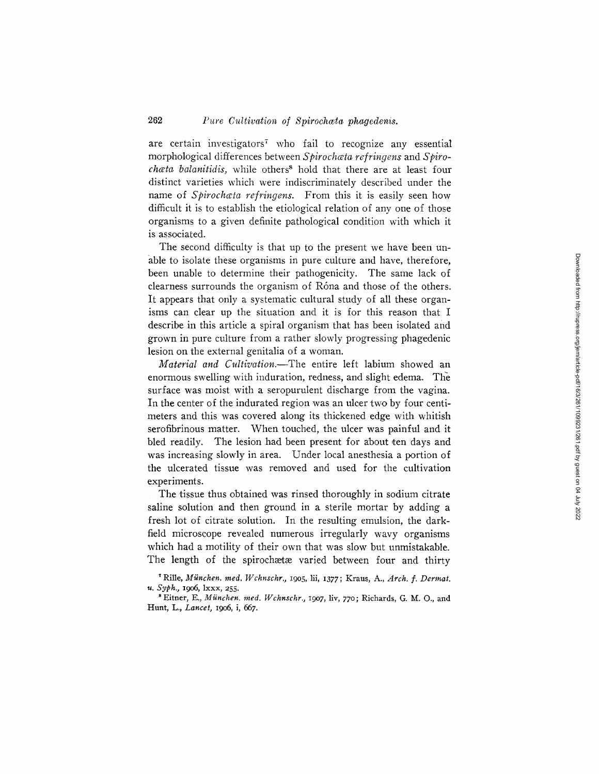are certain investigators<sup> $7$ </sup> who fail to recognize any essential morphological differences between Spirochata refringens and Spiro*chæta balanitidis,* while others<sup>8</sup> hold that there are at least four distinct varieties which were indiscriminately described under the name of *Spirochata refringens*. From this it is easily seen how difficult it is to establish the etiological relation of any one of those organisms to a given definite pathological condition with which it is associated.

The second difficulty is that up to the present we have been unable to isolate these organisms in pure culture and have, therefore, been unable to determine their pathogenicity. The same lack of clearness surrounds the organism of Róna and those of the others. It appears that only a systematic cultural study of all these organisms can clear up the situation and it is for this reason that I describe in this article a spiral organism that has been isolated and grown in pure culture from a rather slowly progressing phagedenic lesion on the external genitalia of a woman.

*Material and Cultivation.--The* entire left labium showed an enormous swelling with induration, redness, and slight edema. The surface was moist with a seropurulent discharge from the vagina. In the center of the indurated region was an ulcer two by four centimeters and this was covered along its thickened edge with whitish serofibrinous matter. When touched, the ulcer was painful and it bled readily. The lesion had been present for about ten days and was increasing slowly in area. Under local anesthesia a portion of the ulcerated tissue was removed and used for the cultivation experiments.

The tissue thus obtained was rinsed thoroughly in sodium citrate saline solution and then ground in a sterile mortar by adding a fresh lot of citrate solution. In the resulting emulsion, the darkfield microscope revealed numerous irregularly wavy organisms which had a motility of their own that was slow but unmistakable. The length of the spirochætæ varied between four and thirty

Rille, *Miinchen. reed. Wchnschr.,* 19o5, lii, *1377* ; Kraus, A., *Arch. f. Dermat. u. Syph.,* 19o6, lxxx, 255.

<sup>&</sup>lt;sup>8</sup> Eitner, E., München. med. Wchnschr., 1907, liv, 770; Richards, G. M. O., and Hunt, L., *Lancet,* 19o6, i, 667.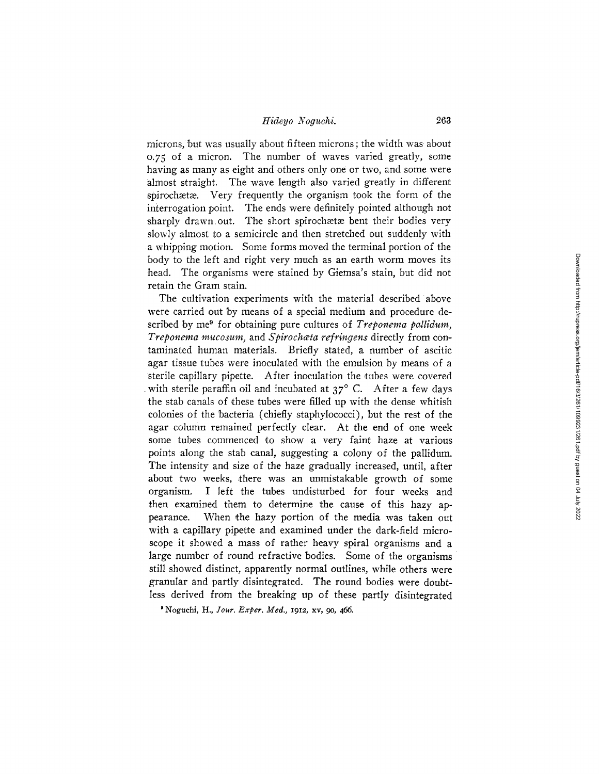## *Hideyo Noguchi.* 263

microns, but was usually about fifteen microns ; the width was about o.75 of a micron. The number of waves varied greatly, some having as many as eight and others only one or two, and some were almost straight. The wave length also varied greatly in different spirochætæ. Very frequently the organism took the form of the interrogation point. The ends were definitely pointed although not sharply drawn out. The short spirochata bent their bodies very slowly almost to a semicircle and then stretched out suddenly with a whipping motion. Some forms moved the terminal portion of the body to the left and right very much as an earth worm moves its head. The organisms were stained by Giemsa's stain, but did not retain the Gram stain.

The cultivation experiments with the material described above were carried out by means of a special medium and procedure described by me<sup>9</sup> for obtaining pure cultures of *Treponema pallidum*, *Treponema mucosum,* and *Spirochceta refringens* directly from contaminated human materials. Briefly stated, a number of ascitic agar tissue tubes were inoculated with the emulsion by means of a sterile capillary pipette. After inoculation the tubes were covered with sterile paraffin oil and incubated at  $37^{\circ}$  C. After a few days the stab canals of these tubes were filled up with the dense whitish colonies of the bacteria (chiefly staphylococci), but the rest of the agar column remained perfectly clear. At the end of one week some tubes commenced to show a very faint haze at various points along the stab canal, suggesting a colony of the pallidum. The intensity and size of the haze gradually increased, until, after about two weeks, there was an unmistakable growth of some organism. I left the tubes undisturbed for four weeks and then examined them to determine the cause of this hazy appearance. When the hazy portion of the media was taken out with a capillary pipette and examined under the dark-field microscope it showed a mass of rather heavy spiral organisms and a large number of round refractive bodies. Some of the organisms still showed distinct, apparently normal outlines, while others were granular and partly disintegrated. The round bodies were doubtless derived from the breaking up of these partly disintegrated

<sup>9</sup> Noguchi, H., *Jour. Exper. Med.*, 1912, xv, 90, 466.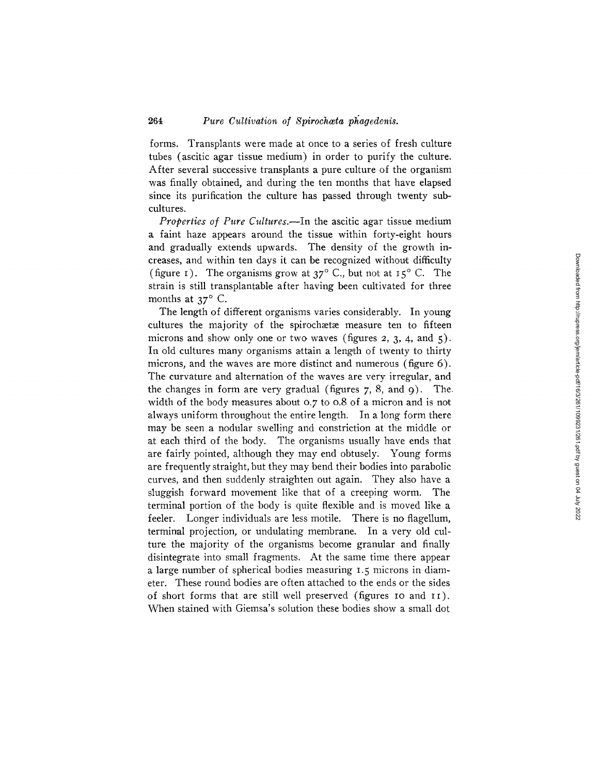## 264 *Pure Cultivation of Spirochosta phagedenis.*

forms. Transplants were made at once to a series of fresh culture tubes (ascitic agar tissue medium) in order to purify the culture. After several successive transplants a pure culture of the organism was finally obtained, and during the ten months that have elapsed since its purification the culture has passed through twenty subcultures.

*Properties of Pure Cultures.--In* the ascitic agar tissue medium a faint haze appears around the tissue within forty-eight hours and gradually extends upwards. The density of the growth increases, and within ten days it can be recognized without difficulty (figure I). The organisms grow at  $37^{\circ}$  C., but not at  $15^{\circ}$  C. The strain is still transplantable after having been cultivated for three months at  $37^\circ$  C.

The length of different organisms varies considerably. In young cultures the majority of the spirochætæ measure ten to fifteen microns and show only one or two waves (figures 2, 3, 4, and 5). In old cultures many organisms attain a length of twenty to thirty microns, and the waves are more distinct and numerous (figure 6). The curvature and alternation of the waves are very irregular, and the changes in form are very gradual (figures  $7, 8$ , and  $9$ ). The. width of the body measures about 0.7 to 0.8 of a micron and is not always uniform throughout the entire length. In a long form there may be seen a nodular swelling and constriction at the middle or at each third of the body. The organisms usually have ends that are fairly pointed, although they may end obtusely. Young forms are frequently straight, but they may bend their bodies into parabolic curves, and then suddenly straighten out again. They also have a sluggish forward movement like that of a creeping worm. The terminal portion of the body is quite flexible and is moved like a feeler. Longer individuals are less motile. There is no flagellum, terminal projection, or undulating membrane. In a very old culture the majority of the organisms become granular and finally disintegrate into small fragments. At the same time there appear a large number of spherical bodies measuring 1. 5 microns in diameter. These round bodies are often attached to the ends or the sides of short forms that are still well preserved (figures IO and II). When stained with Giemsa's solution these bodies show a small dot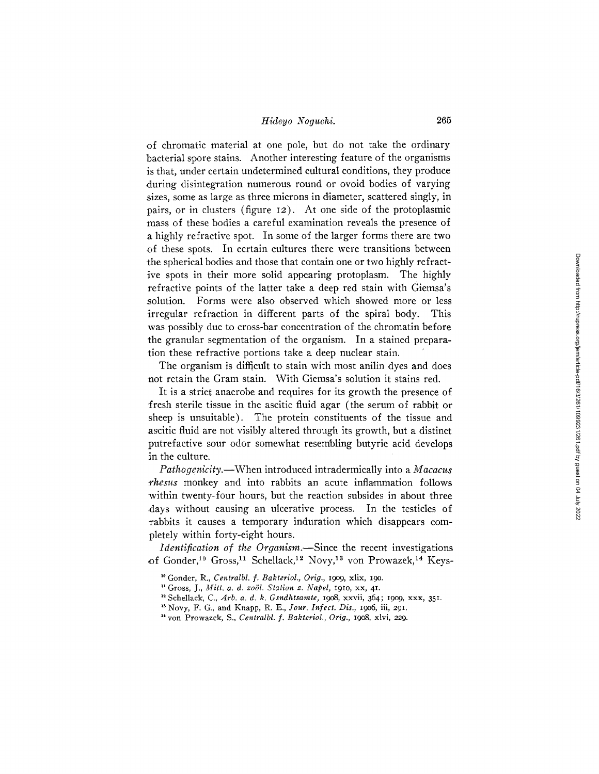## *Hideyo Noguchi.* 265

of chromatic material at one pole, but do not take the ordinary bacterial spore stains. Another interesting feature of the organisms is that, under certain undetermined cultural conditions, they produce during disintegration numerous round or ovoid bodies of varying sizes, some as large as three microns in diameter, scattered singly, in pairs, or in clusters (figure 12). At one side of the protoplasmic mass of these bodies a careful examination reveals the presence of a highly refractive spot. In some of the larger forms there are two of these spots. In certain cultures there were transitions between the spherical bodies and those that contain one or two highly refractive spots in their more solid appearing protoplasm. The highly refractive points of the latter take a deep red stain with Giemsa's solution. Forms were also observed which showed more or less irregular refraction in different parts of the spiral body. This was possibly due to cross-bar concentration of the chromatin before the granular segmentation of the organism. In a stained preparation these refractive portions take a deep nuclear stain.

The organism is difficult to stain with most anilin dyes and does not retain the Gram stain. With Giemsa's solution it stains red.

It is a strict anaerobe and requires for its growth the presence of fresh sterile tissue in the ascitic fluid agar (the serum of rabbit or sheep is unsuitable). The protein constituents of the tissue and ascitic fluid are not visibly altered through its growth, but a distinct putrefactive sour odor somewhat resembling butyric acid develops in the culture.

*Pathogenicity.--When* introduced intradermically into a *Macacus rhesus* monkey and into rabbits an acute inflammation follows within twenty-four hours, but the reaction subsides in about three days without causing an ulcerative process. In the testicles of rabbits it causes a temporary induration which disappears completely within forty-eight hours.

*Identification of the Organism.*-Since the recent investigations of Gonder,<sup>10</sup> Gross,<sup>11</sup> Schellack,<sup>12</sup> Novy,<sup>13</sup> von Prowazek,<sup>14</sup> Keys-

~\* Schellack, C., *Arb. a. d. k. Gsndhtsamte,* 19o8, xxvii, 364; 19o9, xxx, 351.

<sup>18</sup> Novy, F. G., and Knapp, R. E., *Jour. Infect. Dis.*, 1906, iii, 291.

<sup>&</sup>lt;sup>10</sup> Gonder, R., *Centralbl. f. Bakteriol., Orig.*, 1909, xlix, 190.

<sup>~1</sup> Gross, J., *Mitt. a. d. zo61. Station z. Napel,* 191o, xx, 41.

<sup>• 4</sup> yon Prowazek, S., *Centralbl. f. Bakteriol., Orig. ,* 19o8, xlvi, *229.*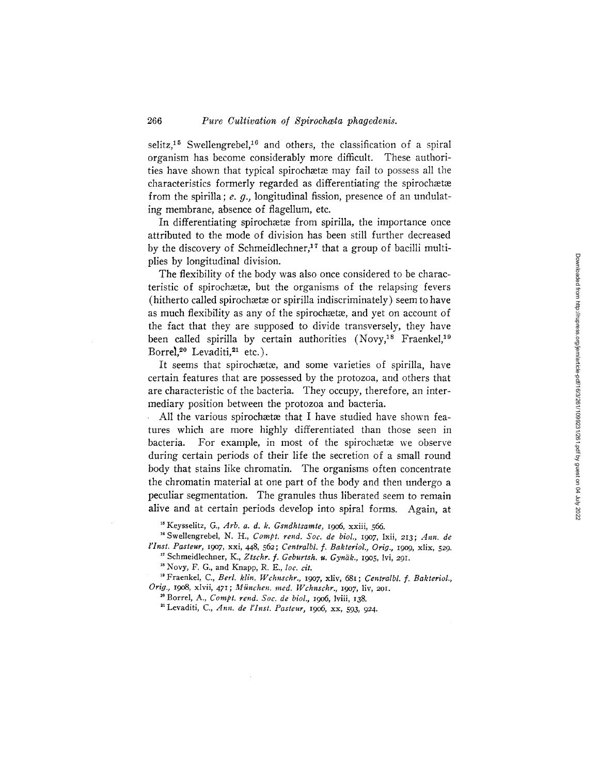## 266 *Pure Cultivation of Spirochata phagedenis.*

selitz,<sup>15</sup> Swellengrebel,<sup>16</sup> and others, the classification of a spiral organism has become considerably more difficult. These authorities have shown that typical spirochætæ may fail to possess all the characteristics formerly regarded as differentiating the spirochætæ from the spirilla; e. q., longitudinal fission, presence of an undulating membrane, absence of flagellum, etc.

In differentiating spirochætæ from spirilla, the importance once attributed to the mode of division has been still further decreased by the discovery of Schmeidlechner, $17$  that a group of bacilli multiplies by longitudinal division.

The flexibility of the body was also once considered to be characteristic of spirochætæ, but the organisms of the relapsing fevers  $(hitherto called spiroch $eta$  or spirilla indiscriminately) seem to have$ as much flexibility as any of the spirochætæ, and yet on account of the fact that they are supposed to divide transversely, they have been called spirilla by certain authorities  $(Now, <sup>18</sup>)$  Fraenkel,<sup>19</sup> Borrel,<sup>20</sup> Levaditi,<sup>21</sup> etc.).

It seems that spirochætæ, and some varieties of spirilla, have certain features that are possessed by the protozoa, and others that are characteristic of the bacteria. They occupy, therefore, an intermediary position between the protozoa and bacteria.

All the various spirochata that I have studied have shown features which are more highly differentiated than those seen in bacteria. For example, in most of the spirochaetae we observe during certain periods of their life the secretion of a small round body that stains like chromatin. The organisms often concentrate the chromatin material at one part of the body and then undergo a peculiar segmentation. The granules thus liberated seem to remain alive and at certain periods develop into spiral forms. Again, at

<sup>15</sup> Keysselitz, G., Arb. a. d. k. Gsndhtsamte, 1906, xxiii, 566.

<sup>16</sup> Swellengrebel, N. H., *Compt. rend. Soc. de biol.*, 1907, 1xii, 213; Ann. de *l'Inst. Pasteur, 19o7,* xxi, 448, *562; Centralbl. f. Bakterio'l., Orig.,* 19o9, Mix, 529. <sup>17</sup> Schmeidlechner, K., Ztschr. f. Geburtsh. u. Gynäk., 1905, lvi, 291.

<sup>18</sup> Novy, F. G., and Knapp, R. E., loc. cit.

<sup>19</sup> Fraenkel, C., *Berl. klin. Wchnschr.*, 1907, xliv, 681; Centralbl. f. Bakteriol., *Orig.,* 19o8, xlvii, 471; *Miinchen. reed. Wchnschr., 19o7,* liv, 2Ol.

20 Borrel, A., *Compt. rend. Soc. de biol.,* 19o6, lviii, I38.

22 Levaditi, C., *Ann. de l'Inst. Pasteur,* 19o6, xx, 593, *924.*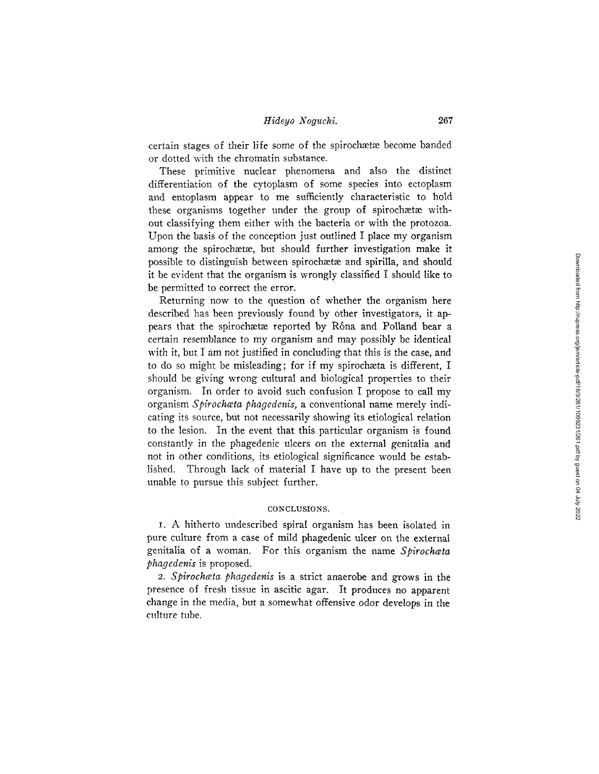## *Hideyo Noguchi.* 267

certain stages of their life some of the spirochætæ become banded or dotted with the chromatin substance.

These primitive nuclear phenomena and also the distinct differentiation of the cytoplasm of some species into ectoplasm and entoplasm appear to me sufficiently characteristic to hold these organisms together under the group of spirochætæ without classifying them either with the bacteria or with the protozoa. Upon the basis of the conception just outlined I place my organism among the spirochaetae, but should further investigation make it possible to distinguish between spiroehaetae and spirilla, and should it be evident that the organism is wrongly classified I should like to be permitted to correct the error.

Returning now to the question of whether the organism here described has been previously found by other investigators, it appears that the spirochætæ reported by Róna and Polland bear a certain resemblance to my organism and may possibly be identical with *it,* but I am not justified in concluding that this is the case, and to do so might be misleading; for if my spirochaeta is different, I should be giving wrong cultural and biological properties to their organism. In order to avoid such confusion I propose to call my organism *Spirochceta phagedenis,* a conventional name merely indicating its source, but not necessarily showing its etiological relation to the lesion. In the event that this particular organism is found constantly in the phagedenic ulcers on the external genitalia and not in other conditions, its etiological significance would be established. Through lack of material I have up to the present been unable to pursue this subject further.

#### CONCLUSIONS.

I. A hitherto undescribed spiral organism has been isolated in pure culture from a case of mild phagedenic ulcer on the external genitalia of a woman. For this organism the name *Spirochata phagedenis* is proposed.

*2. Spirochwta phagedenis* is a strict anaerobe and grows in the presence of fresh tissue in ascitic agar. It produces no apparent change in the media, but a somewhat offensive odor develops in the culture tube.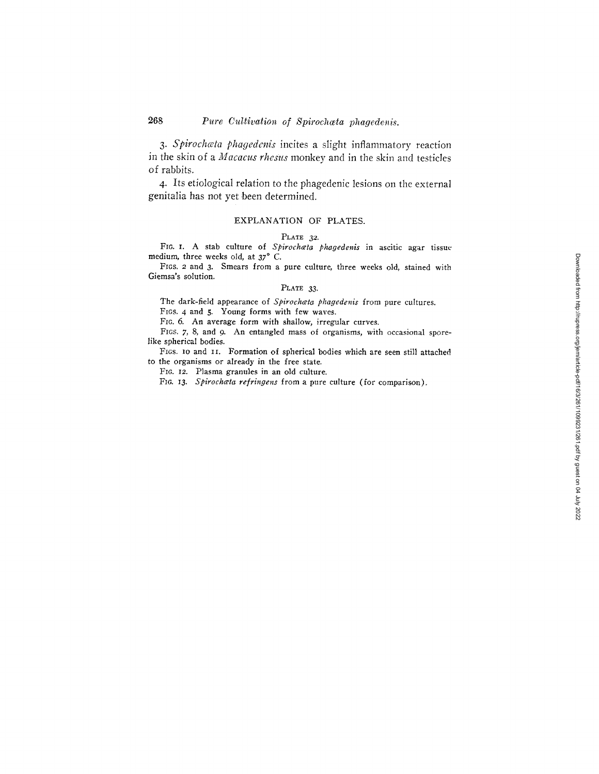# 268 **Pure Cultivation of Spirochata phagedenis.**

*3. Spirochceta phagedenis* incites a slight inflammatory reaction in the skin of a *Macacus rhesus* monkey and in the skin and testicles of rabbits.

4- Its etiological relation to the phagedenic lesions on the external genitalia has not yet been determined.

#### EXPLANATION OF PLATES.

#### PLATE 32.

FIC. I. A stab culture of *Spirochwta phagedenis* in ascitic agar tissue medium, three weeks old, at  $37^\circ$  C.

FIGS. 2 and 3. Smears from a pure culture, three weeks old, stained with Giemsa's solution.

#### PLATE 33.

The dark-field appearance of *Spirochata phagedenis* from pure cultures. FIGS. 4 and 5. Young forms with few waves.

FIG. 6. An average form with shallow, irregular curves.

FIGS. 7, 8, and 9. An entangled mass of organisms, with occasional sporelike spherical bodies.

FIGS. IO and II. Formation of spherical bodies which are seen still attached to the organisms or already in the free state.

FIG. 12. Plasma granules in an old culture.

FIo. I3. *Spirochcta refringens* from a pure culture (for comparison).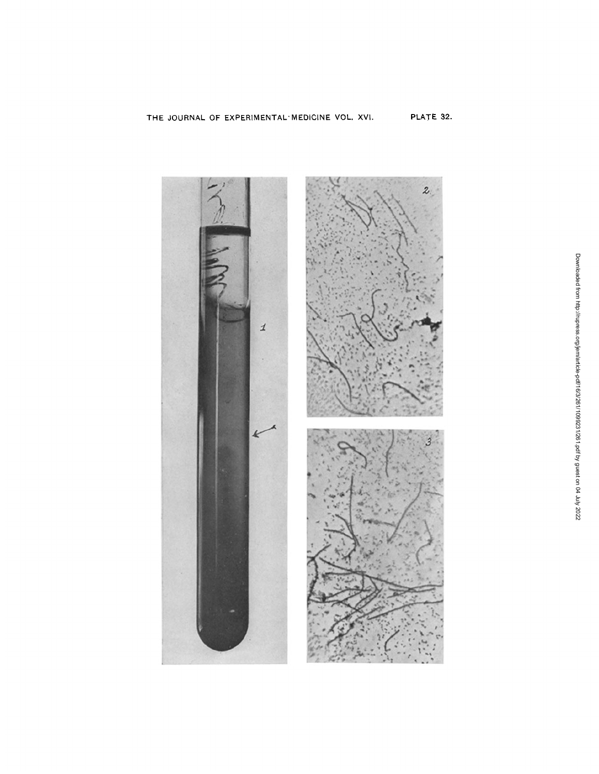